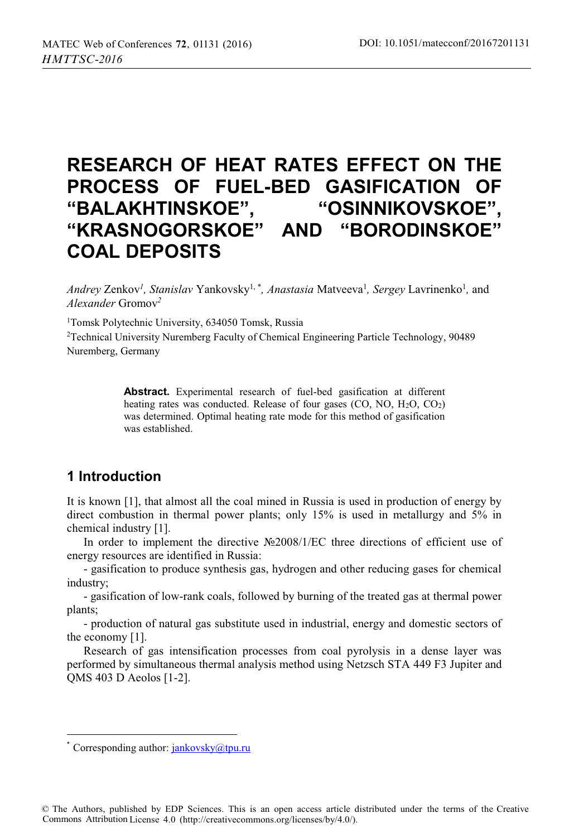# **RESEARCH OF HEAT RATES EFFECT ON THE PROCESS OF FUEL-BED GASIFICATION OF "BALAKHTINSKOE", "OSINNIKOVSKOE", "KRASNOGORSKOE" AND "BORODINSKOE" COAL DEPOSITS**

Andrey Zenkov<sup>1</sup>, Stanislav Yankovsky<sup>1,\*</sup>, Anastasia Matveeva<sup>1</sup>, Sergey Lavrinenko<sup>1</sup>, and *Alexander* Gromov*<sup>2</sup>*

1Tomsk Polytechnic University, 634050 Tomsk, Russia

2Technical University Nuremberg Faculty of Chemical Engineering Particle Technology, 90489 Nuremberg, Germany

> **Abstract.** Experimental research of fuel-bed gasification at different heating rates was conducted. Release of four gases  $(CO, NO, H<sub>2</sub>O, CO<sub>2</sub>)$ was determined. Optimal heating rate mode for this method of gasification was established.

# **1 Introduction**

It is known [1], that almost all the coal mined in Russia is used in production of energy by direct combustion in thermal power plants; only 15% is used in metallurgy and 5% in chemical industry [1].

In order to implement the directive №2008/1/EC three directions of efficient use of energy resources are identified in Russia:

- gasification to produce synthesis gas, hydrogen and other reducing gases for chemical industry;

- gasification of low-rank coals, followed by burning of the treated gas at thermal power plants;

- production of natural gas substitute used in industrial, energy and domestic sectors of the economy [1].

Research of gas intensification processes from coal pyrolysis in a dense layer was performed by simultaneous thermal analysis method using Netzsch STA 449 F3 Jupiter and QMS 403 D Aeolos [1-2].

 $\overline{a}$ 

<sup>\*</sup> Corresponding author:  $\frac{1}{2}$  iankovsky $\omega$ tpu.ru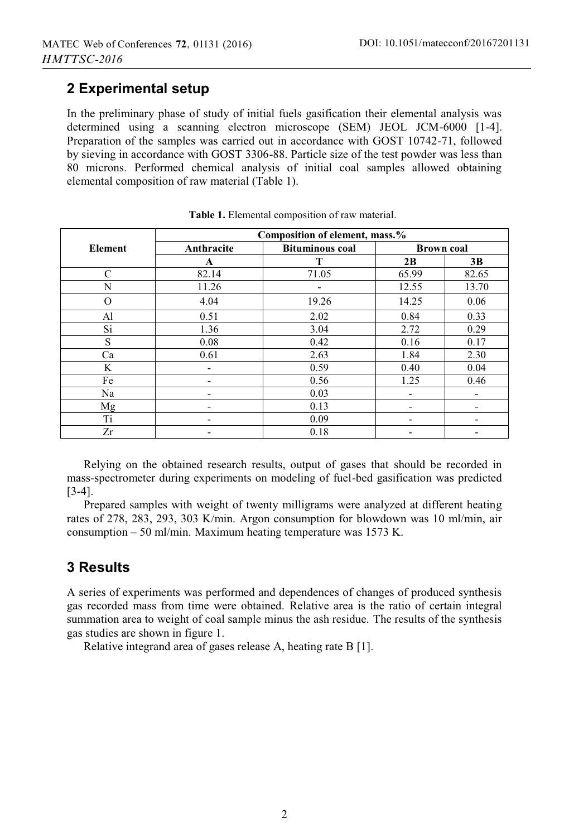## **2 Experimental setup**

In the preliminary phase of study of initial fuels gasification their elemental analysis was determined using a scanning electron microscope (SEM) JEOL JCM-6000 [1-4]. Preparation of the samples was carried out in accordance with GOST 10742-71, followed by sieving in accordance with GOST 3306-88. Particle size of the test powder was less than 80 microns. Performed chemical analysis of initial coal samples allowed obtaining elemental composition of raw material (Table 1).

|          | Composition of element, mass.% |                        |                          |       |
|----------|--------------------------------|------------------------|--------------------------|-------|
| Element  | Anthracite                     | <b>Bituminous coal</b> | <b>Brown coal</b>        |       |
|          | $\mathbf A$                    | т                      | 2B                       | 3B    |
| C        | 82.14                          | 71.05                  | 65.99                    | 82.65 |
| N        | 11.26                          |                        | 12.55                    | 13.70 |
| $\Omega$ | 4.04                           | 19.26                  | 14.25                    | 0.06  |
| Al       | 0.51                           | 2.02                   | 0.84                     | 0.33  |
| Si       | 1.36                           | 3.04                   | 2.72                     | 0.29  |
| S        | 0.08                           | 0.42                   | 0.16                     | 0.17  |
| Ca       | 0.61                           | 2.63                   | 1.84                     | 2.30  |
| K        |                                | 0.59                   | 0.40                     | 0.04  |
| Fe       |                                | 0.56                   | 1.25                     | 0.46  |
| Na       |                                | 0.03                   |                          |       |
| Mg       |                                | 0.13                   |                          |       |
| Ti       |                                | 0.09                   | $\overline{\phantom{a}}$ |       |
| Zr       |                                | 0.18                   |                          |       |

**Table 1.** Elemental composition of raw material.

Relying on the obtained research results, output of gases that should be recorded in mass-spectrometer during experiments on modeling of fuel-bed gasification was predicted [3-4].

Prepared samples with weight of twenty milligrams were analyzed at different heating rates of 278, 283, 293, 303 K/min. Argon consumption for blowdown was 10 ml/min, air consumption – 50 ml/min. Maximum heating temperature was 1573 K.

# **3 Results**

A series of experiments was performed and dependences of changes of produced synthesis gas recorded mass from time were obtained. Relative area is the ratio of certain integral summation area to weight of coal sample minus the ash residue. The results of the synthesis gas studies are shown in figure 1.

Relative integrand area of gases release A, heating rate B [1].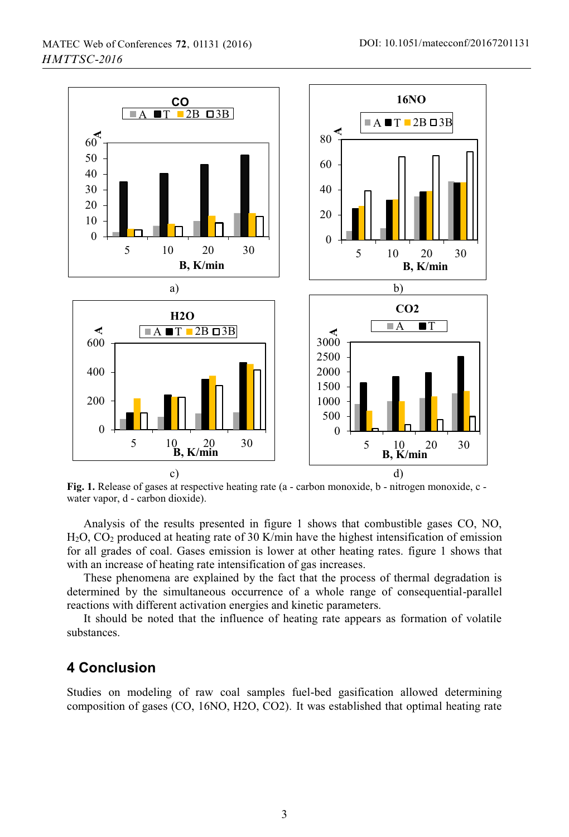

Fig. 1. Release of gases at respective heating rate (a - carbon monoxide, b - nitrogen monoxide, c water vapor, d - carbon dioxide).

Analysis of the results presented in figure 1 shows that combustible gases CO, NO,  $H<sub>2</sub>O$ , CO<sub>2</sub> produced at heating rate of 30 K/min have the highest intensification of emission for all grades of coal. Gases emission is lower at other heating rates. figure 1 shows that with an increase of heating rate intensification of gas increases.

These phenomena are explained by the fact that the process of thermal degradation is determined by the simultaneous occurrence of a whole range of consequential-parallel reactions with different activation energies and kinetic parameters.

It should be noted that the influence of heating rate appears as formation of volatile substances.

### **4 Conclusion**

Studies on modeling of raw coal samples fuel-bed gasification allowed determining composition of gases (CO, 16NO, H2O, CO2). It was established that optimal heating rate